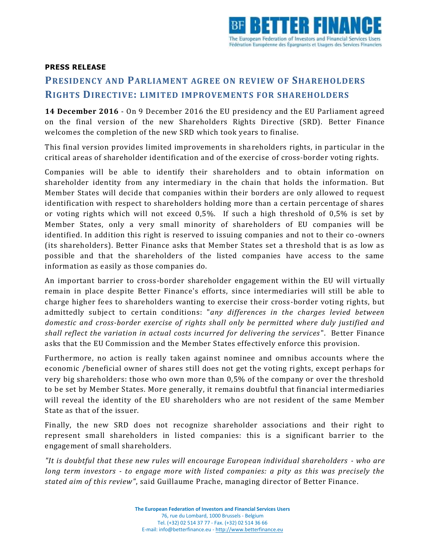

## **PRESS RELEASE**

## **PRESIDENCY AND PARLIAMENT AGREE ON REVIEW OF SHAREHOLDERS RIGHTS DIRECTIVE: LIMITED IMPROVEMENTS FOR SHAREHOLDERS**

**14 December 2016** - On 9 December 2016 the EU presidency and the EU Parliament agreed on the final version of the new Shareholders Rights Directive (SRD). Better Finance welcomes the completion of the new SRD which took years to finalise.

This final version provides limited improvements in shareholders rights, in particular in the critical areas of shareholder identification and of the exercise of cross-border voting rights.

Companies will be able to identify their shareholders and to obtain information on shareholder identity from any intermediary in the chain that holds the information. But Member States will decide that companies within their borders are only allowed to request identification with respect to shareholders holding more than a certain percentage of shares or voting rights which will not exceed 0,5%. If such a high threshold of 0,5% is set by Member States, only a very small minority of shareholders of EU companies will be identified. In addition this right is reserved to issuing companies and not to their co -owners (its shareholders). Better Finance asks that Member States set a threshold that is as low as possible and that the shareholders of the listed companies have access to the same information as easily as those companies do.

An important barrier to cross-border shareholder engagement within the EU will virtually remain in place despite Better Finance's efforts, since intermediaries will still be able to charge higher fees to shareholders wanting to exercise their cross-border voting rights, but admittedly subject to certain conditions: "*any differences in the charges levied between domestic and cross-border exercise of rights shall only be permitted where duly justified and shall reflect the variation in actual costs incurred for delivering the services*". Better Finance asks that the EU Commission and the Member States effectively enforce this provision.

Furthermore, no action is really taken against nominee and omnibus accounts where the economic /beneficial owner of shares still does not get the voting rights, except perhaps for very big shareholders: those who own more than 0,5% of the company or over the threshold to be set by Member States. More generally, it remains doubtful that financial intermediaries will reveal the identity of the EU shareholders who are not resident of the same Member State as that of the issuer.

Finally, the new SRD does not recognize shareholder associations and their right to represent small shareholders in listed companies: this is a significant barrier to the engagement of small shareholders.

*"It is doubtful that these new rules will encourage European individual shareholders - who are long term investors - to engage more with listed companies: a pity as this was precisely the stated aim of this review"*, said Guillaume Prache, managing director of Better Finance.